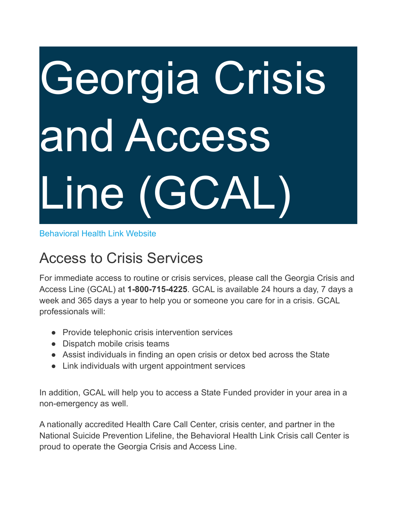# Georgia Crisis and Access Line (GCAL)

#### [Behavioral](http://www.behavioralhealthlink.com/) Health Link Website

## Access to Crisis Services

For immediate access to routine or crisis services, please call the Georgia Crisis and Access Line (GCAL) at **1-800-715-4225**. GCAL is available 24 hours a day, 7 days a week and 365 days a year to help you or someone you care for in a crisis. GCAL professionals will:

- Provide telephonic crisis intervention services
- Dispatch mobile crisis teams
- Assist individuals in finding an open crisis or detox bed across the State
- Link individuals with urgent appointment services

In addition, GCAL will help you to access a State Funded provider in your area in a non-emergency as well.

A nationally accredited Health Care Call Center, crisis center, and partner in the National Suicide Prevention Lifeline, the Behavioral Health Link Crisis call Center is proud to operate the Georgia Crisis and Access Line.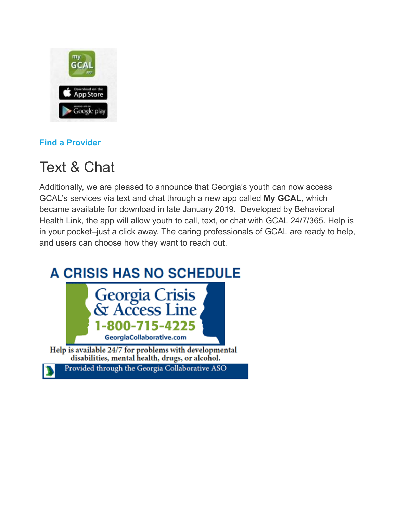

### **Find a [Provider](https://providersearch.beaconhealthoptions.com/#/provider/home/277)**

## Text & Chat

Additionally, we are pleased to announce that Georgia's youth can now access GCAL's services via text and chat through a new app called **My GCAL**, which became available for download in late January 2019. Developed by Behavioral Health Link, the app will allow youth to call, text, or chat with GCAL 24/7/365. Help is in your pocket–just a click away. The caring professionals of GCAL are ready to help, and users can choose how they want to reach out.

## **A CRISIS HAS NO SCHEDULE**



disabilities, mental health, drugs, or alcohol.

Provided through the Georgia Collaborative ASO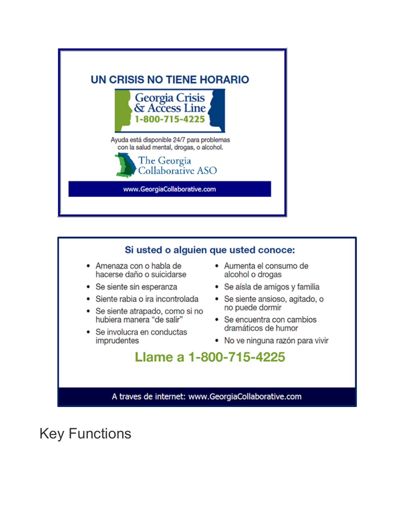



Key Functions